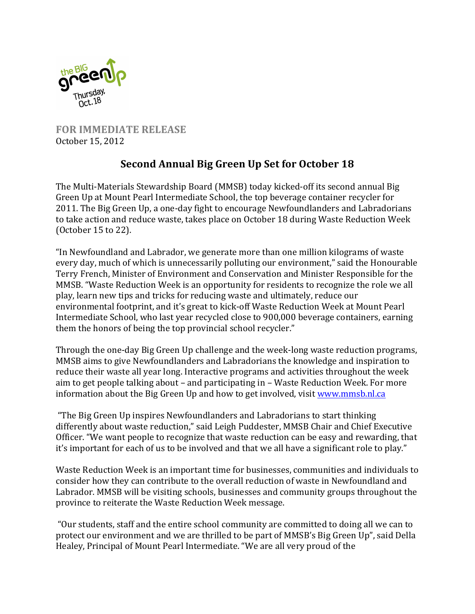

**FOR IMMEDIATE RELEASE** October 15, 2012

## **Second Annual Big Green Up Set for October 18**

The Multi-Materials Stewardship Board (MMSB) today kicked-off its second annual Big Green Up at Mount Pearl Intermediate School, the top beverage container recycler for 2011. The Big Green Up, a one-day fight to encourage Newfoundlanders and Labradorians to take action and reduce waste, takes place on October 18 during Waste Reduction Week (October 15 to 22).

"In Newfoundland and Labrador, we generate more than one million kilograms of waste every day, much of which is unnecessarily polluting our environment," said the Honourable Terry French, Minister of Environment and Conservation and Minister Responsible for the MMSB. "Waste Reduction Week is an opportunity for residents to recognize the role we all play, learn new tips and tricks for reducing waste and ultimately, reduce our environmental footprint, and it's great to kick-off Waste Reduction Week at Mount Pearl Intermediate School, who last year recycled close to 900,000 beverage containers, earning them the honors of being the top provincial school recycler."

Through the one-day Big Green Up challenge and the week-long waste reduction programs, MMSB aims to give Newfoundlanders and Labradorians the knowledge and inspiration to reduce their waste all year long. Interactive programs and activities throughout the week aim to get people talking about - and participating in - Waste Reduction Week. For more information about the Big Green Up and how to get involved, visit www.mmsb.nl.ca

"The Big Green Up inspires Newfoundlanders and Labradorians to start thinking differently about waste reduction," said Leigh Puddester, MMSB Chair and Chief Executive Officer. "We want people to recognize that waste reduction can be easy and rewarding, that it's important for each of us to be involved and that we all have a significant role to play."

Waste Reduction Week is an important time for businesses, communities and individuals to consider how they can contribute to the overall reduction of waste in Newfoundland and Labrador. MMSB will be visiting schools, businesses and community groups throughout the province to reiterate the Waste Reduction Week message.

"Our students, staff and the entire school community are committed to doing all we can to protect our environment and we are thrilled to be part of MMSB's Big Green Up", said Della Healey, Principal of Mount Pearl Intermediate. "We are all very proud of the